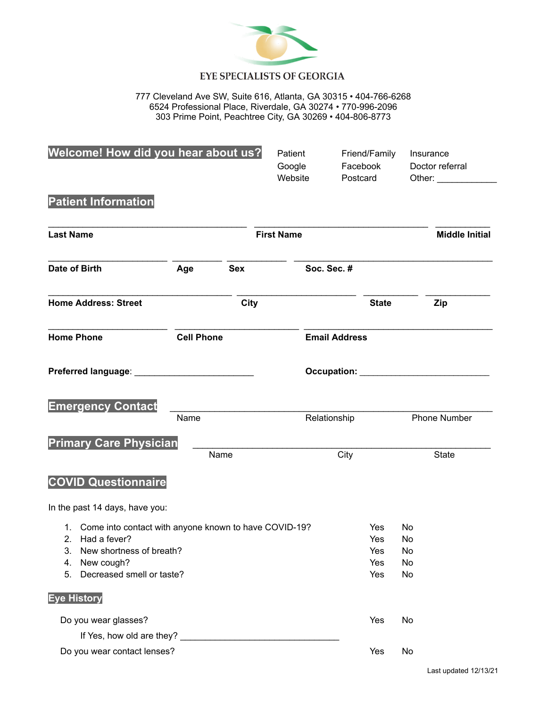

# **EYE SPECIALISTS OF GEORGIA**

777 Cleveland Ave SW, Suite 616, Atlanta, GA 30315 • 404-766-6268 6524 Professional Place, Riverdale, GA 30274 • 770-996-2096 303 Prime Point, Peachtree City, GA 30269 • 404-806-8773

| Welcome! How did you hear about us?                                                                                                                                  |                   |                   | Patient<br>Google<br>Website | Friend/Family<br>Facebook<br>Postcard |                            | Insurance<br>Doctor referral<br>Other: and the control of the control of the control of the control of the control of the control of the control of the control of the control of the control of the control of the control of the control of the control of t |
|----------------------------------------------------------------------------------------------------------------------------------------------------------------------|-------------------|-------------------|------------------------------|---------------------------------------|----------------------------|----------------------------------------------------------------------------------------------------------------------------------------------------------------------------------------------------------------------------------------------------------------|
| <b>Patient Information</b>                                                                                                                                           |                   |                   |                              |                                       |                            |                                                                                                                                                                                                                                                                |
| <b>Last Name</b>                                                                                                                                                     |                   | <b>First Name</b> |                              |                                       |                            | <b>Middle Initial</b>                                                                                                                                                                                                                                          |
| Date of Birth                                                                                                                                                        | Age               | <b>Sex</b>        | Soc. Sec. #                  |                                       |                            |                                                                                                                                                                                                                                                                |
| <b>Home Address: Street</b>                                                                                                                                          |                   | <b>City</b>       |                              | <b>State</b>                          |                            | Zip                                                                                                                                                                                                                                                            |
| <b>Home Phone</b>                                                                                                                                                    | <b>Cell Phone</b> |                   |                              | <b>Email Address</b>                  |                            |                                                                                                                                                                                                                                                                |
| Preferred language: National Preferred Language:                                                                                                                     |                   |                   |                              |                                       |                            |                                                                                                                                                                                                                                                                |
| <b>Emergency Contact</b>                                                                                                                                             | Name              |                   |                              | Relationship                          |                            | Phone Number                                                                                                                                                                                                                                                   |
| <b>Primary Care Physician</b>                                                                                                                                        |                   | Name              |                              | City                                  |                            | <b>State</b>                                                                                                                                                                                                                                                   |
| <b>COVID Questionnaire</b>                                                                                                                                           |                   |                   |                              |                                       |                            |                                                                                                                                                                                                                                                                |
| In the past 14 days, have you:                                                                                                                                       |                   |                   |                              |                                       |                            |                                                                                                                                                                                                                                                                |
| 1. Come into contact with anyone known to have COVID-19?<br>2. Had a fever?<br>New shortness of breath?<br>3.<br>New cough?<br>4.<br>Decreased smell or taste?<br>5. |                   |                   |                              | Yes<br>Yes<br>Yes<br>Yes<br>Yes       | No<br>No<br>No<br>No<br>No |                                                                                                                                                                                                                                                                |
| <b>Eye History</b>                                                                                                                                                   |                   |                   |                              |                                       |                            |                                                                                                                                                                                                                                                                |
| Do you wear glasses?<br>If Yes, how old are they? ________<br>Do you wear contact lenses?                                                                            |                   |                   |                              | Yes<br>Yes                            | No<br>No                   |                                                                                                                                                                                                                                                                |
|                                                                                                                                                                      |                   |                   |                              |                                       |                            |                                                                                                                                                                                                                                                                |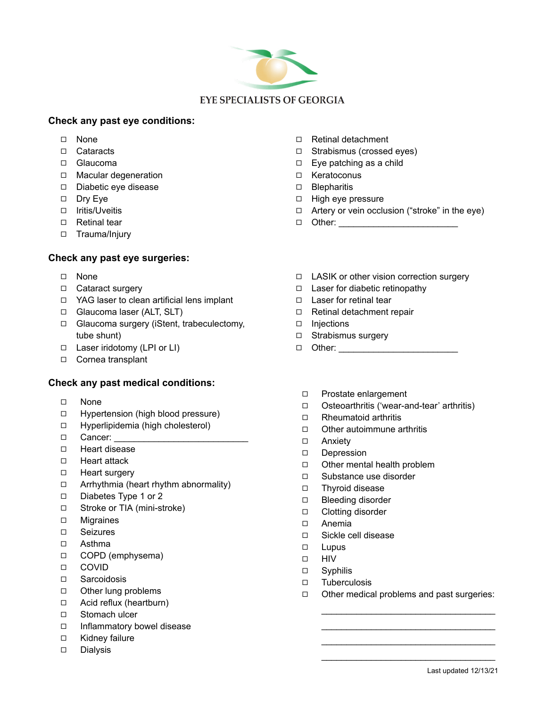

## **Check any past eye conditions:**

- ◻ None
- ◻ Cataracts
- ◻ Glaucoma
- ◻ Macular degeneration
- ◻ Diabetic eye disease
- ◻ Dry Eye
- ◻ Iritis/Uveitis
- ◻ Retinal tear
- ◻ Trauma/Injury

# **Check any past eye surgeries:**

- ◻ None
- ◻ Cataract surgery
- ◻ YAG laser to clean artificial lens implant
- ◻ Glaucoma laser (ALT, SLT)
- ◻ Glaucoma surgery (iStent, trabeculectomy, tube shunt)
- ◻ Laser iridotomy (LPI or LI)
- ◻ Cornea transplant

## **Check any past medical conditions:**

- ◻ None
- ◻ Hypertension (high blood pressure)
- ◻ Hyperlipidemia (high cholesterol)
- ◻ Cancer: \_\_\_\_\_\_\_\_\_\_\_\_\_\_\_\_\_\_\_\_\_\_\_\_\_\_\_
- ◻ Heart disease
- ◻ Heart attack
- ◻ Heart surgery
- ◻ Arrhythmia (heart rhythm abnormality)
- ◻ Diabetes Type 1 or 2
- ◻ Stroke or TIA (mini-stroke)
- ◻ Migraines
- ◻ Seizures
- ◻ Asthma
- ◻ COPD (emphysema)
- ◻ COVID
- ◻ Sarcoidosis
- ◻ Other lung problems
- ◻ Acid reflux (heartburn)
- ◻ Stomach ulcer
- ◻ Inflammatory bowel disease
- ◻ Kidney failure
- ◻ Dialysis
- ◻ Retinal detachment
- ◻ Strabismus (crossed eyes)
- ◻ Eye patching as a child
- ◻ Keratoconus
- ◻ Blepharitis
- ◻ High eye pressure
- ◻ Artery or vein occlusion ("stroke" in the eye)
- $\Box$  Other:  $\Box$
- ◻ LASIK or other vision correction surgery
- ◻ Laser for diabetic retinopathy
- ◻ Laser for retinal tear
- ◻ Retinal detachment repair
- ◻ Injections
- ◻ Strabismus surgery
- ◻ Other: \_\_\_\_\_\_\_\_\_\_\_\_\_\_\_\_\_\_\_\_\_\_\_\_
- ◻ Prostate enlargement
- ◻ Osteoarthritis ('wear-and-tear' arthritis)
- ◻ Rheumatoid arthritis
- ◻ Other autoimmune arthritis
- ◻ Anxiety
- ◻ Depression
- ◻ Other mental health problem
- ◻ Substance use disorder
- ◻ Thyroid disease
- ◻ Bleeding disorder
- ◻ Clotting disorder
- ◻ Anemia
- ◻ Sickle cell disease
- ◻ Lupus
- ◻ HIV
- ◻ Syphilis
- ◻ Tuberculosis
- ◻ Other medical problems and past surgeries: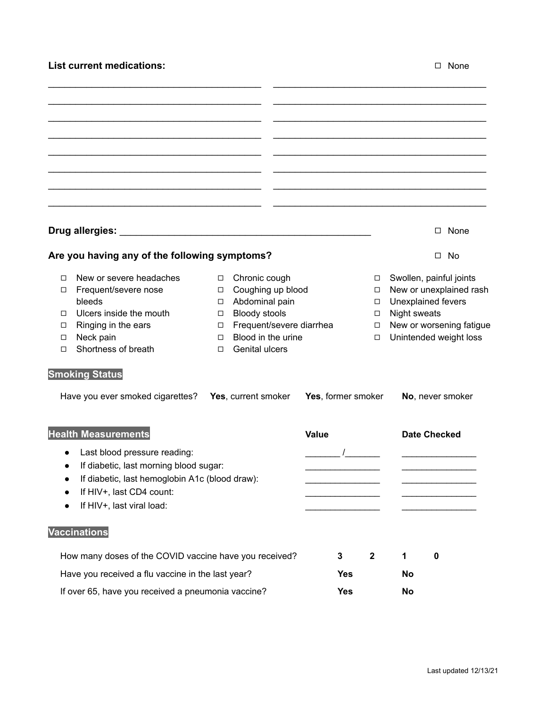# **List current medications:** ◻ None

|                                                        |                                                    |                        |                                        |       |              |                  |                         | None<br>$\Box$           |  |  |
|--------------------------------------------------------|----------------------------------------------------|------------------------|----------------------------------------|-------|--------------|------------------|-------------------------|--------------------------|--|--|
|                                                        | Are you having any of the following symptoms?      |                        |                                        |       |              |                  |                         | $\square$ No             |  |  |
| п                                                      | New or severe headaches                            | $\Box$                 | Chronic cough                          |       |              | $\Box$           |                         | Swollen, painful joints  |  |  |
| □                                                      | Frequent/severe nose                               | Coughing up blood<br>□ |                                        |       |              | $\Box$           | New or unexplained rash |                          |  |  |
| □                                                      | bleeds<br>Ulcers inside the mouth                  | □<br>$\Box$            | Abdominal pain<br><b>Bloody stools</b> |       |              | $\Box$<br>$\Box$ | Night sweats            | Unexplained fevers       |  |  |
| □                                                      | Ringing in the ears                                | $\Box$                 | Frequent/severe diarrhea               |       |              | $\Box$           |                         | New or worsening fatigue |  |  |
| □                                                      | Neck pain                                          | □                      | Blood in the urine                     |       |              | $\Box$           |                         | Unintended weight loss   |  |  |
| □                                                      | Shortness of breath                                | □                      | Genital ulcers                         |       |              |                  |                         |                          |  |  |
|                                                        | <b>Smoking Status</b>                              |                        |                                        |       |              |                  |                         |                          |  |  |
| Have you ever smoked cigarettes?                       |                                                    | Yes, current smoker    | Yes, former smoker                     |       |              | No, never smoker |                         |                          |  |  |
|                                                        | <b>Health Measurements</b>                         |                        |                                        | Value |              |                  |                         | <b>Date Checked</b>      |  |  |
| $\bullet$                                              | Last blood pressure reading:                       |                        |                                        |       |              |                  |                         |                          |  |  |
|                                                        | If diabetic, last morning blood sugar:             |                        |                                        |       |              |                  |                         |                          |  |  |
| $\bullet$                                              | If diabetic, last hemoglobin A1c (blood draw):     |                        |                                        |       |              |                  |                         |                          |  |  |
|                                                        | If HIV+, last CD4 count:                           |                        |                                        |       |              |                  |                         |                          |  |  |
|                                                        | If HIV+, last viral load:                          |                        |                                        |       |              |                  |                         |                          |  |  |
|                                                        | <b>Vaccinations</b>                                |                        |                                        |       |              |                  |                         |                          |  |  |
| How many doses of the COVID vaccine have you received? |                                                    |                        |                                        | 3     | $\mathbf{2}$ | 1                | $\mathbf 0$             |                          |  |  |
| Have you received a flu vaccine in the last year?      |                                                    |                        |                                        |       | <b>Yes</b>   |                  | No                      |                          |  |  |
|                                                        | If over 65, have you received a pneumonia vaccine? |                        |                                        |       | <b>Yes</b>   |                  |                         | No                       |  |  |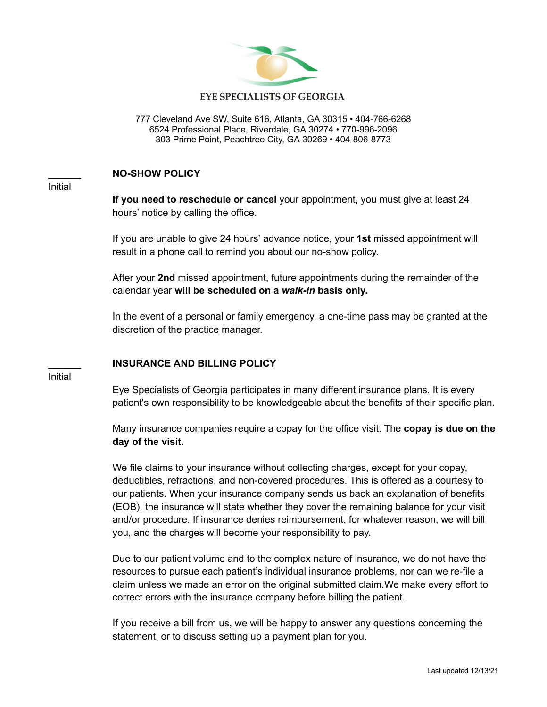

#### **EYE SPECIALISTS OF GEORGIA**

777 Cleveland Ave SW, Suite 616, Atlanta, GA 30315 • 404-766-6268 6524 Professional Place, Riverdale, GA 30274 • 770-996-2096 303 Prime Point, Peachtree City, GA 30269 • 404-806-8773

#### \_\_\_\_\_\_ **NO-SHOW POLICY**

Initial

**If you need to reschedule or cancel** your appointment, you must give at least 24 hours' notice by calling the office.

If you are unable to give 24 hours' advance notice, your **1st** missed appointment will result in a phone call to remind you about our no-show policy.

After your **2nd** missed appointment, future appointments during the remainder of the calendar year **will be scheduled on a** *walk-in* **basis only.**

In the event of a personal or family emergency, a one-time pass may be granted at the discretion of the practice manager.

### \_\_\_\_\_\_ **INSURANCE AND BILLING POLICY**

Initial

Eye Specialists of Georgia participates in many different insurance plans. It is every patient's own responsibility to be knowledgeable about the benefits of their specific plan.

Many insurance companies require a copay for the office visit. The **copay is due on the day of the visit.**

We file claims to your insurance without collecting charges, except for your copay, deductibles, refractions, and non-covered procedures. This is offered as a courtesy to our patients. When your insurance company sends us back an explanation of benefits (EOB), the insurance will state whether they cover the remaining balance for your visit and/or procedure. If insurance denies reimbursement, for whatever reason, we will bill you, and the charges will become your responsibility to pay.

Due to our patient volume and to the complex nature of insurance, we do not have the resources to pursue each patient's individual insurance problems, nor can we re-file a claim unless we made an error on the original submitted claim.We make every effort to correct errors with the insurance company before billing the patient.

If you receive a bill from us, we will be happy to answer any questions concerning the statement, or to discuss setting up a payment plan for you.